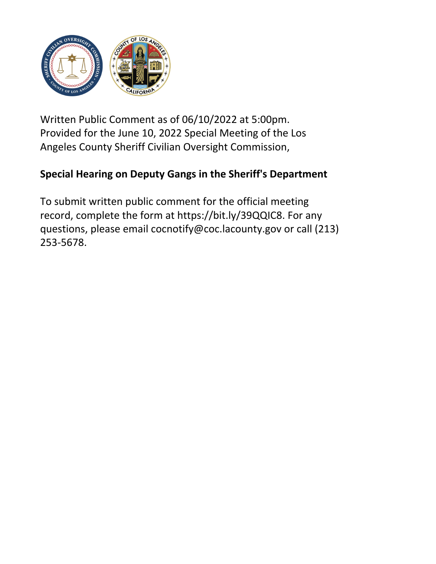

Written Public Comment as of 06/10/2022 at 5:00pm. Provided for the June 10, 2022 Special Meeting of the Los Angeles County Sheriff Civilian Oversight Commission,

## **Special Hearing on Deputy Gangs in the Sheriff's Department**

To submit written public comment for the official meeting record, complete the form at https://bit.ly/39QQIC8. For any questions, please email cocnotify@coc.lacounty.gov or call (213) 253-5678.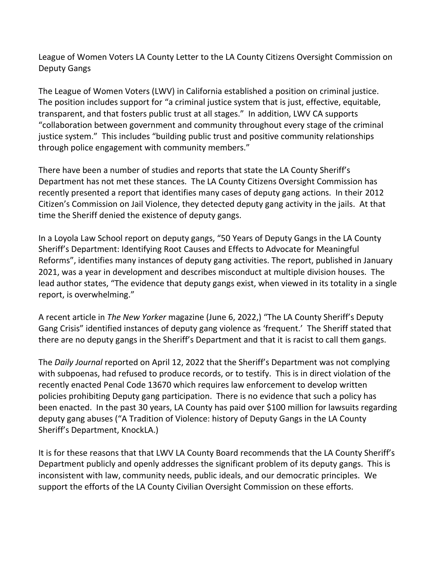League of Women Voters LA County Letter to the LA County Citizens Oversight Commission on Deputy Gangs

The League of Women Voters (LWV) in California established a position on criminal justice. The position includes support for "a criminal justice system that is just, effective, equitable, transparent, and that fosters public trust at all stages." In addition, LWV CA supports "collaboration between government and community throughout every stage of the criminal justice system." This includes "building public trust and positive community relationships through police engagement with community members."

There have been a number of studies and reports that state the LA County Sheriff's Department has not met these stances. The LA County Citizens Oversight Commission has recently presented a report that identifies many cases of deputy gang actions. In their 2012 Citizen's Commission on Jail Violence, they detected deputy gang activity in the jails. At that time the Sheriff denied the existence of deputy gangs.

In a Loyola Law School report on deputy gangs, "50 Years of Deputy Gangs in the LA County Sheriff's Department: Identifying Root Causes and Effects to Advocate for Meaningful Reforms", identifies many instances of deputy gang activities. The report, published in January 2021, was a year in development and describes misconduct at multiple division houses. The lead author states, "The evidence that deputy gangs exist, when viewed in its totality in a single report, is overwhelming."

A recent article in *The New Yorker* magazine (June 6, 2022,) "The LA County Sheriff's Deputy Gang Crisis" identified instances of deputy gang violence as 'frequent.' The Sheriff stated that there are no deputy gangs in the Sheriff's Department and that it is racist to call them gangs.

The *Daily Journal* reported on April 12, 2022 that the Sheriff's Department was not complying with subpoenas, had refused to produce records, or to testify. This is in direct violation of the recently enacted Penal Code 13670 which requires law enforcement to develop written policies prohibiting Deputy gang participation. There is no evidence that such a policy has been enacted. In the past 30 years, LA County has paid over \$100 million for lawsuits regarding deputy gang abuses ("A Tradition of Violence: history of Deputy Gangs in the LA County Sheriff's Department, KnockLA.)

It is for these reasons that that LWV LA County Board recommends that the LA County Sheriff's Department publicly and openly addresses the significant problem of its deputy gangs. This is inconsistent with law, community needs, public ideals, and our democratic principles. We support the efforts of the LA County Civilian Oversight Commission on these efforts.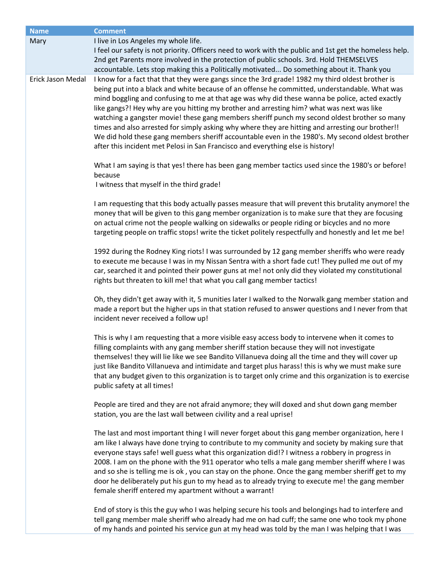| <b>Name</b>       | <b>Comment</b>                                                                                                                                                                                                                                                                                                                                                                                                                                                                                                                                                                                                                                                                                                                                                                             |
|-------------------|--------------------------------------------------------------------------------------------------------------------------------------------------------------------------------------------------------------------------------------------------------------------------------------------------------------------------------------------------------------------------------------------------------------------------------------------------------------------------------------------------------------------------------------------------------------------------------------------------------------------------------------------------------------------------------------------------------------------------------------------------------------------------------------------|
| Mary              | I live in Los Angeles my whole life.                                                                                                                                                                                                                                                                                                                                                                                                                                                                                                                                                                                                                                                                                                                                                       |
|                   | I feel our safety is not priority. Officers need to work with the public and 1st get the homeless help.                                                                                                                                                                                                                                                                                                                                                                                                                                                                                                                                                                                                                                                                                    |
|                   | 2nd get Parents more involved in the protection of public schools. 3rd. Hold THEMSELVES                                                                                                                                                                                                                                                                                                                                                                                                                                                                                                                                                                                                                                                                                                    |
|                   | accountable. Lets stop making this a Politically motivated Do something about it. Thank you                                                                                                                                                                                                                                                                                                                                                                                                                                                                                                                                                                                                                                                                                                |
| Erick Jason Medal | I know for a fact that that they were gangs since the 3rd grade! 1982 my third oldest brother is<br>being put into a black and white because of an offense he committed, understandable. What was<br>mind boggling and confusing to me at that age was why did these wanna be police, acted exactly<br>like gangs?! Hey why are you hitting my brother and arresting him? what was next was like<br>watching a gangster movie! these gang members sheriff punch my second oldest brother so many<br>times and also arrested for simply asking why where they are hitting and arresting our brother!!<br>We did hold these gang members sheriff accountable even in the 1980's. My second oldest brother<br>after this incident met Pelosi in San Francisco and everything else is history! |
|                   | What I am saying is that yes! there has been gang member tactics used since the 1980's or before!<br>because<br>I witness that myself in the third grade!                                                                                                                                                                                                                                                                                                                                                                                                                                                                                                                                                                                                                                  |
|                   |                                                                                                                                                                                                                                                                                                                                                                                                                                                                                                                                                                                                                                                                                                                                                                                            |
|                   | I am requesting that this body actually passes measure that will prevent this brutality anymore! the<br>money that will be given to this gang member organization is to make sure that they are focusing<br>on actual crime not the people walking on sidewalks or people riding or bicycles and no more<br>targeting people on traffic stops! write the ticket politely respectfully and honestly and let me be!                                                                                                                                                                                                                                                                                                                                                                          |
|                   | 1992 during the Rodney King riots! I was surrounded by 12 gang member sheriffs who were ready<br>to execute me because I was in my Nissan Sentra with a short fade cut! They pulled me out of my<br>car, searched it and pointed their power guns at me! not only did they violated my constitutional<br>rights but threaten to kill me! that what you call gang member tactics!                                                                                                                                                                                                                                                                                                                                                                                                           |
|                   | Oh, they didn't get away with it, 5 munities later I walked to the Norwalk gang member station and<br>made a report but the higher ups in that station refused to answer questions and I never from that<br>incident never received a follow up!                                                                                                                                                                                                                                                                                                                                                                                                                                                                                                                                           |
|                   | This is why I am requesting that a more visible easy access body to intervene when it comes to<br>filling complaints with any gang member sheriff station because they will not investigate<br>themselves! they will lie like we see Bandito Villanueva doing all the time and they will cover up<br>just like Bandito Villanueva and intimidate and target plus harass! this is why we must make sure<br>that any budget given to this organization is to target only crime and this organization is to exercise<br>public safety at all times!                                                                                                                                                                                                                                           |
|                   | People are tired and they are not afraid anymore; they will doxed and shut down gang member<br>station, you are the last wall between civility and a real uprise!                                                                                                                                                                                                                                                                                                                                                                                                                                                                                                                                                                                                                          |
|                   | The last and most important thing I will never forget about this gang member organization, here I<br>am like I always have done trying to contribute to my community and society by making sure that<br>everyone stays safe! well guess what this organization did!? I witness a robbery in progress in<br>2008. I am on the phone with the 911 operator who tells a male gang member sheriff where I was<br>and so she is telling me is ok, you can stay on the phone. Once the gang member sheriff get to my<br>door he deliberately put his gun to my head as to already trying to execute me! the gang member<br>female sheriff entered my apartment without a warrant!                                                                                                                |

End of story is this the guy who I was helping secure his tools and belongings had to interfere and tell gang member male sheriff who already had me on had cuff; the same one who took my phone of my hands and pointed his service gun at my head was told by the man I was helping that I was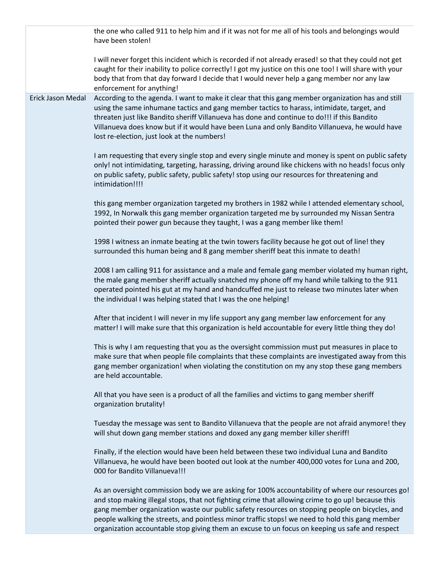the one who called 911 to help him and if it was not for me all of his tools and belongings would have been stolen! I will never forget this incident which is recorded if not already erased! so that they could not get caught for their inability to police correctly! I got my justice on this one too! I will share with your body that from that day forward I decide that I would never help a gang member nor any law enforcement for anything! Erick Jason Medal According to the agenda. I want to make it clear that this gang member organization has and still using the same inhumane tactics and gang member tactics to harass, intimidate, target, and threaten just like Bandito sheriff Villanueva has done and continue to do!!! if this Bandito Villanueva does know but if it would have been Luna and only Bandito Villanueva, he would have lost re-election, just look at the numbers! I am requesting that every single stop and every single minute and money is spent on public safety only! not intimidating, targeting, harassing, driving around like chickens with no heads! focus only on public safety, public safety, public safety! stop using our resources for threatening and intimidation!!!! this gang member organization targeted my brothers in 1982 while I attended elementary school, 1992, In Norwalk this gang member organization targeted me by surrounded my Nissan Sentra pointed their power gun because they taught, I was a gang member like them! 1998 I witness an inmate beating at the twin towers facility because he got out of line! they surrounded this human being and 8 gang member sheriff beat this inmate to death! 2008 I am calling 911 for assistance and a male and female gang member violated my human right, the male gang member sheriff actually snatched my phone off my hand while talking to the 911 operated pointed his gut at my hand and handcuffed me just to release two minutes later when the individual I was helping stated that I was the one helping! After that incident I will never in my life support any gang member law enforcement for any matter! I will make sure that this organization is held accountable for every little thing they do! This is why I am requesting that you as the oversight commission must put measures in place to make sure that when people file complaints that these complaints are investigated away from this gang member organization! when violating the constitution on my any stop these gang members are held accountable. All that you have seen is a product of all the families and victims to gang member sheriff organization brutality! Tuesday the message was sent to Bandito Villanueva that the people are not afraid anymore! they will shut down gang member stations and doxed any gang member killer sheriff! Finally, if the election would have been held between these two individual Luna and Bandito Villanueva, he would have been booted out look at the number 400,000 votes for Luna and 200, 000 for Bandito Villanueva!!! As an oversight commission body we are asking for 100% accountability of where our resources go! and stop making illegal stops, that not fighting crime that allowing crime to go up! because this gang member organization waste our public safety resources on stopping people on bicycles, and people walking the streets, and pointless minor traffic stops! we need to hold this gang member

organization accountable stop giving them an excuse to un focus on keeping us safe and respect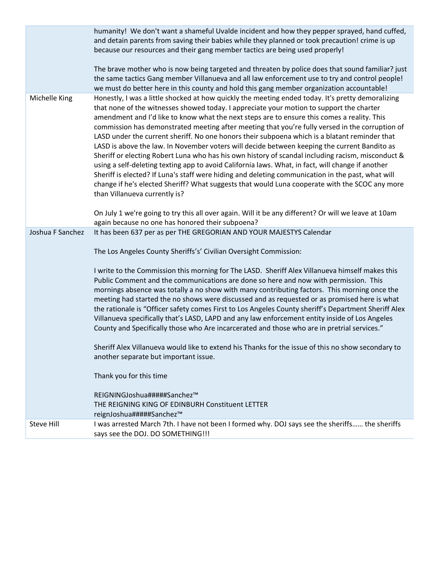|                  | humanity! We don't want a shameful Uvalde incident and how they pepper sprayed, hand cuffed,<br>and detain parents from saving their babies while they planned or took precaution! crime is up<br>because our resources and their gang member tactics are being used properly!<br>The brave mother who is now being targeted and threaten by police does that sound familiar? just<br>the same tactics Gang member Villanueva and all law enforcement use to try and control people!<br>we must do better here in this county and hold this gang member organization accountable!                                                                                                                                                                                                                                                                                                                                                                                                                                                                  |
|------------------|----------------------------------------------------------------------------------------------------------------------------------------------------------------------------------------------------------------------------------------------------------------------------------------------------------------------------------------------------------------------------------------------------------------------------------------------------------------------------------------------------------------------------------------------------------------------------------------------------------------------------------------------------------------------------------------------------------------------------------------------------------------------------------------------------------------------------------------------------------------------------------------------------------------------------------------------------------------------------------------------------------------------------------------------------|
| Michelle King    | Honestly, I was a little shocked at how quickly the meeting ended today. It's pretty demoralizing<br>that none of the witnesses showed today. I appreciate your motion to support the charter<br>amendment and I'd like to know what the next steps are to ensure this comes a reality. This<br>commission has demonstrated meeting after meeting that you're fully versed in the corruption of<br>LASD under the current sheriff. No one honors their subpoena which is a blatant reminder that<br>LASD is above the law. In November voters will decide between keeping the current Bandito as<br>Sheriff or electing Robert Luna who has his own history of scandal including racism, misconduct &<br>using a self-deleting texting app to avoid California laws. What, in fact, will change if another<br>Sheriff is elected? If Luna's staff were hiding and deleting communication in the past, what will<br>change if he's elected Sheriff? What suggests that would Luna cooperate with the SCOC any more<br>than Villanueva currently is? |
|                  | On July 1 we're going to try this all over again. Will it be any different? Or will we leave at 10am<br>again because no one has honored their subpoena?                                                                                                                                                                                                                                                                                                                                                                                                                                                                                                                                                                                                                                                                                                                                                                                                                                                                                           |
| Joshua F Sanchez | It has been 637 per as per THE GREGORIAN AND YOUR MAJESTYS Calendar                                                                                                                                                                                                                                                                                                                                                                                                                                                                                                                                                                                                                                                                                                                                                                                                                                                                                                                                                                                |
|                  | The Los Angeles County Sheriffs's' Civilian Oversight Commission:                                                                                                                                                                                                                                                                                                                                                                                                                                                                                                                                                                                                                                                                                                                                                                                                                                                                                                                                                                                  |
|                  | I write to the Commission this morning for The LASD. Sheriff Alex Villanueva himself makes this<br>Public Comment and the communications are done so here and now with permission. This<br>mornings absence was totally a no show with many contributing factors. This morning once the<br>meeting had started the no shows were discussed and as requested or as promised here is what<br>the rationale is "Officer safety comes First to Los Angeles County sheriff's Department Sheriff Alex<br>Villanueva specifically that's LASD, LAPD and any law enforcement entity inside of Los Angeles<br>County and Specifically those who Are incarcerated and those who are in pretrial services."                                                                                                                                                                                                                                                                                                                                                   |
|                  | Sheriff Alex Villanueva would like to extend his Thanks for the issue of this no show secondary to<br>another separate but important issue.                                                                                                                                                                                                                                                                                                                                                                                                                                                                                                                                                                                                                                                                                                                                                                                                                                                                                                        |
|                  | Thank you for this time                                                                                                                                                                                                                                                                                                                                                                                                                                                                                                                                                                                                                                                                                                                                                                                                                                                                                                                                                                                                                            |
|                  | REIGNINGJoshua#####Sanchez™<br>THE REIGNING KING OF EDINBURH Constituent LETTER<br>reignJoshua#####Sanchez™                                                                                                                                                                                                                                                                                                                                                                                                                                                                                                                                                                                                                                                                                                                                                                                                                                                                                                                                        |
| Steve Hill       | I was arrested March 7th. I have not been I formed why. DOJ says see the sheriffs the sheriffs<br>says see the DOJ. DO SOMETHING!!!                                                                                                                                                                                                                                                                                                                                                                                                                                                                                                                                                                                                                                                                                                                                                                                                                                                                                                                |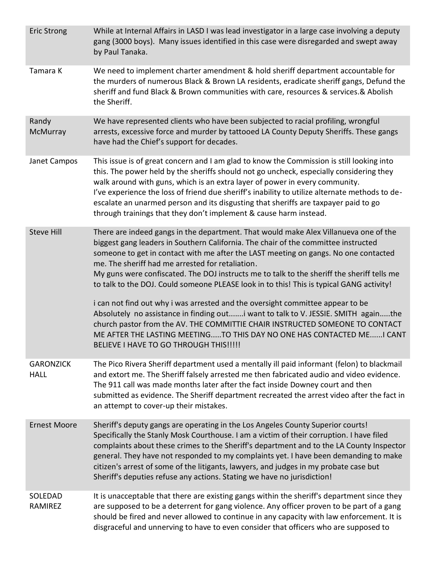| <b>Eric Strong</b>              | While at Internal Affairs in LASD I was lead investigator in a large case involving a deputy<br>gang (3000 boys). Many issues identified in this case were disregarded and swept away<br>by Paul Tanaka.                                                                                                                                                                                                                                                                                                                                                                                                                                                                                                                                                                                                                                                                                   |
|---------------------------------|--------------------------------------------------------------------------------------------------------------------------------------------------------------------------------------------------------------------------------------------------------------------------------------------------------------------------------------------------------------------------------------------------------------------------------------------------------------------------------------------------------------------------------------------------------------------------------------------------------------------------------------------------------------------------------------------------------------------------------------------------------------------------------------------------------------------------------------------------------------------------------------------|
| Tamara K                        | We need to implement charter amendment & hold sheriff department accountable for<br>the murders of numerous Black & Brown LA residents, eradicate sheriff gangs, Defund the<br>sheriff and fund Black & Brown communities with care, resources & services.& Abolish<br>the Sheriff.                                                                                                                                                                                                                                                                                                                                                                                                                                                                                                                                                                                                        |
| Randy<br>McMurray               | We have represented clients who have been subjected to racial profiling, wrongful<br>arrests, excessive force and murder by tattooed LA County Deputy Sheriffs. These gangs<br>have had the Chief's support for decades.                                                                                                                                                                                                                                                                                                                                                                                                                                                                                                                                                                                                                                                                   |
| Janet Campos                    | This issue is of great concern and I am glad to know the Commission is still looking into<br>this. The power held by the sheriffs should not go uncheck, especially considering they<br>walk around with guns, which is an extra layer of power in every community.<br>I've experience the loss of friend due sheriff's inability to utilize alternate methods to de-<br>escalate an unarmed person and its disgusting that sheriffs are taxpayer paid to go<br>through trainings that they don't implement & cause harm instead.                                                                                                                                                                                                                                                                                                                                                          |
| <b>Steve Hill</b>               | There are indeed gangs in the department. That would make Alex Villanueva one of the<br>biggest gang leaders in Southern California. The chair of the committee instructed<br>someone to get in contact with me after the LAST meeting on gangs. No one contacted<br>me. The sheriff had me arrested for retaliation.<br>My guns were confiscated. The DOJ instructs me to talk to the sheriff the sheriff tells me<br>to talk to the DOJ. Could someone PLEASE look in to this! This is typical GANG activity!<br>i can not find out why i was arrested and the oversight committee appear to be<br>Absolutely no assistance in finding outi want to talk to V. JESSIE. SMITH againthe<br>church pastor from the AV. THE COMMITTIE CHAIR INSTRUCTED SOMEONE TO CONTACT<br>ME AFTER THE LASTING MEETINGTO THIS DAY NO ONE HAS CONTACTED MEI CANT<br>BELIEVE I HAVE TO GO THROUGH THIS!!!!! |
| <b>GARONZICK</b><br><b>HALL</b> | The Pico Rivera Sheriff department used a mentally ill paid informant (felon) to blackmail<br>and extort me. The Sheriff falsely arrested me then fabricated audio and video evidence.<br>The 911 call was made months later after the fact inside Downey court and then<br>submitted as evidence. The Sheriff department recreated the arrest video after the fact in<br>an attempt to cover-up their mistakes.                                                                                                                                                                                                                                                                                                                                                                                                                                                                           |
| <b>Ernest Moore</b>             | Sheriff's deputy gangs are operating in the Los Angeles County Superior courts!<br>Specifically the Stanly Mosk Courthouse. I am a victim of their corruption. I have filed<br>complaints about these crimes to the Sheriff's department and to the LA County Inspector<br>general. They have not responded to my complaints yet. I have been demanding to make<br>citizen's arrest of some of the litigants, lawyers, and judges in my probate case but<br>Sheriff's deputies refuse any actions. Stating we have no jurisdiction!                                                                                                                                                                                                                                                                                                                                                        |
| SOLEDAD<br>RAMIREZ              | It is unacceptable that there are existing gangs within the sheriff's department since they<br>are supposed to be a deterrent for gang violence. Any officer proven to be part of a gang<br>should be fired and never allowed to continue in any capacity with law enforcement. It is<br>disgraceful and unnerving to have to even consider that officers who are supposed to                                                                                                                                                                                                                                                                                                                                                                                                                                                                                                              |